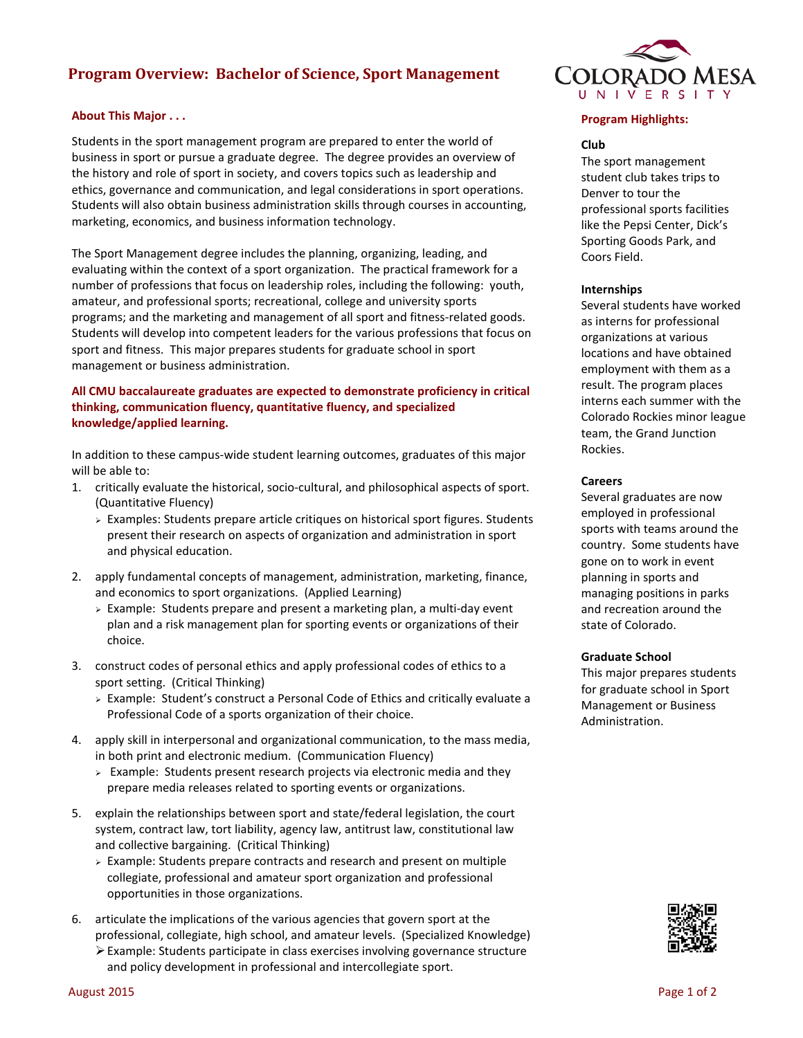# **Program Overview: Bachelor of Science, Sport Management**

## **About This Major . . .**

Students in the sport management program are prepared to enter the world of business in sport or pursue a graduate degree. The degree provides an overview of the history and role of sport in society, and covers topics such as leadership and ethics, governance and communication, and legal considerations in sport operations. Students will also obtain business administration skills through courses in accounting, marketing, economics, and business information technology.

The Sport Management degree includes the planning, organizing, leading, and evaluating within the context of a sport organization. The practical framework for a number of professions that focus on leadership roles, including the following: youth, amateur, and professional sports; recreational, college and university sports programs; and the marketing and management of all sport and fitness-related goods. Students will develop into competent leaders for the various professions that focus on sport and fitness. This major prepares students for graduate school in sport management or business administration.

## **All CMU baccalaureate graduates are expected to demonstrate proficiency in critical thinking, communication fluency, quantitative fluency, and specialized knowledge/applied learning.**

In addition to these campus-wide student learning outcomes, graduates of this major will be able to:

- 1. critically evaluate the historical, socio-cultural, and philosophical aspects of sport. (Quantitative Fluency)
	- Examples: Students prepare article critiques on historical sport figures. Students present their research on aspects of organization and administration in sport and physical education.
- 2. apply fundamental concepts of management, administration, marketing, finance, and economics to sport organizations. (Applied Learning)
	- $\geq$  Example: Students prepare and present a marketing plan, a multi-day event plan and a risk management plan for sporting events or organizations of their choice.
- 3. construct codes of personal ethics and apply professional codes of ethics to a sport setting. (Critical Thinking)
	- $\triangleright$  Example: Student's construct a Personal Code of Ethics and critically evaluate a Professional Code of a sports organization of their choice.
- 4. apply skill in interpersonal and organizational communication, to the mass media, in both print and electronic medium. (Communication Fluency)
	- $\geq$  Example: Students present research projects via electronic media and they prepare media releases related to sporting events or organizations.
- 5. explain the relationships between sport and state/federal legislation, the court system, contract law, tort liability, agency law, antitrust law, constitutional law and collective bargaining. (Critical Thinking)
	- $\geq$  Example: Students prepare contracts and research and present on multiple collegiate, professional and amateur sport organization and professional opportunities in those organizations.
- 6. articulate the implications of the various agencies that govern sport at the professional, collegiate, high school, and amateur levels. (Specialized Knowledge) Example: Students participate in class exercises involving governance structure and policy development in professional and intercollegiate sport.



## **Program Highlights:**

#### **Club**

The sport management student club takes trips to Denver to tour the professional sports facilities like the Pepsi Center, Dick's Sporting Goods Park, and Coors Field.

#### **Internships**

Several students have worked as interns for professional organizations at various locations and have obtained employment with them as a result. The program places interns each summer with the Colorado Rockies minor league team, the Grand Junction Rockies.

#### **Careers**

Several graduates are now employed in professional sports with teams around the country. Some students have gone on to work in event planning in sports and managing positions in parks and recreation around the state of Colorado.

#### **Graduate School**

This major prepares students for graduate school in Sport Management or Business Administration.